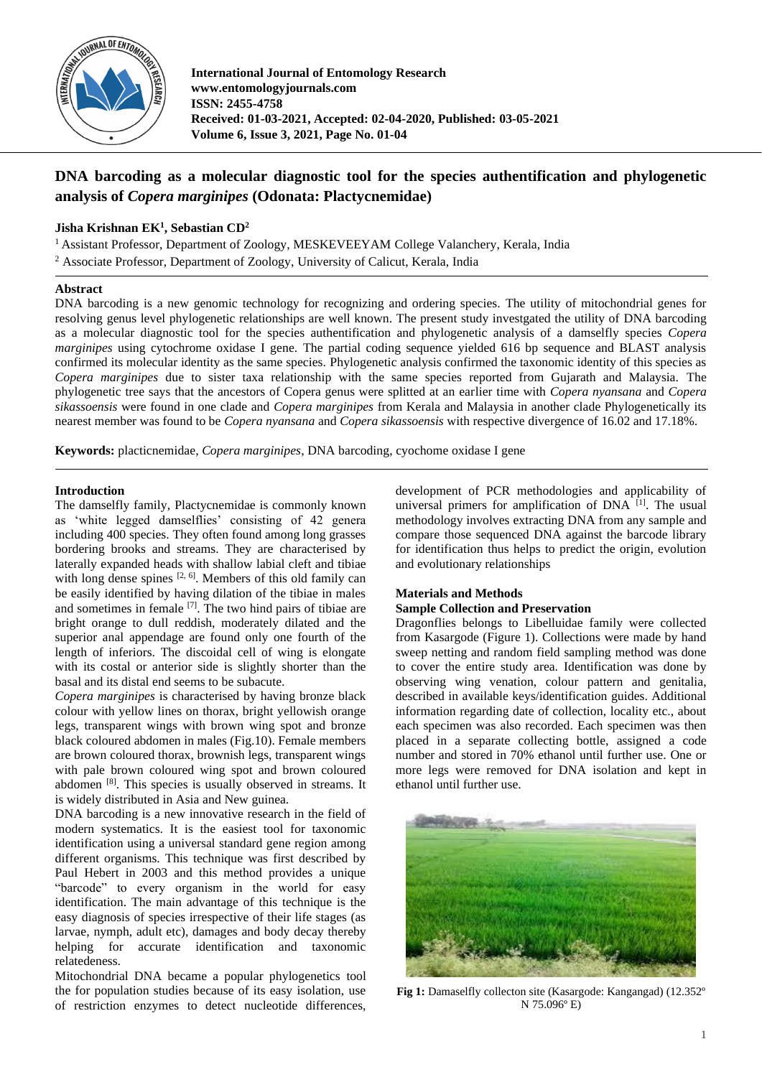

**International Journal of Entomology Research www.entomologyjournals.com ISSN: 2455-4758 Received: 01-03-2021, Accepted: 02-04-2020, Published: 03-05-2021 Volume 6, Issue 3, 2021, Page No. 01-04**

# **DNA barcoding as a molecular diagnostic tool for the species authentification and phylogenetic analysis of** *Copera marginipes* **(Odonata: Plactycnemidae)**

# **Jisha Krishnan EK<sup>1</sup> , Sebastian CD<sup>2</sup>**

<sup>1</sup> Assistant Professor, Department of Zoology, MESKEVEEYAM College Valanchery, Kerala, India

<sup>2</sup> Associate Professor, Department of Zoology, University of Calicut, Kerala, India

#### **Abstract**

DNA barcoding is a new genomic technology for recognizing and ordering species. The utility of mitochondrial genes for resolving genus level phylogenetic relationships are well known. The present study investgated the utility of DNA barcoding as a molecular diagnostic tool for the species authentification and phylogenetic analysis of a damselfly species *Copera marginipes* using cytochrome oxidase I gene. The partial coding sequence yielded 616 bp sequence and BLAST analysis confirmed its molecular identity as the same species. Phylogenetic analysis confirmed the taxonomic identity of this species as *Copera marginipes* due to sister taxa relationship with the same species reported from Gujarath and Malaysia. The phylogenetic tree says that the ancestors of Copera genus were splitted at an earlier time with *Copera nyansana* and *Copera sikassoensis* were found in one clade and *Copera marginipes* from Kerala and Malaysia in another clade Phylogenetically its nearest member was found to be *Copera nyansana* and *Copera sikassoensis* with respective divergence of 16.02 and 17.18%.

**Keywords:** placticnemidae, *Copera marginipes*, DNA barcoding, cyochome oxidase I gene

#### **Introduction**

The damselfly family, Plactycnemidae is commonly known as 'white legged damselflies' consisting of 42 genera including 400 species. They often found among long grasses bordering brooks and streams. They are characterised by laterally expanded heads with shallow labial cleft and tibiae with long dense spines [2, 6]. Members of this old family can be easily identified by having dilation of the tibiae in males and sometimes in female  $[7]$ . The two hind pairs of tibiae are bright orange to dull reddish, moderately dilated and the superior anal appendage are found only one fourth of the length of inferiors. The discoidal cell of wing is elongate with its costal or anterior side is slightly shorter than the basal and its distal end seems to be subacute.

*Copera marginipes* is characterised by having bronze black colour with yellow lines on thorax, bright yellowish orange legs, transparent wings with brown wing spot and bronze black coloured abdomen in males (Fig.10). Female members are brown coloured thorax, brownish legs, transparent wings with pale brown coloured wing spot and brown coloured abdomen [8]. This species is usually observed in streams. It is widely distributed in Asia and New guinea.

DNA barcoding is a new innovative research in the field of modern systematics. It is the easiest tool for taxonomic identification using a universal standard gene region among different organisms. This technique was first described by Paul Hebert in 2003 and this method provides a unique "barcode" to every organism in the world for easy identification. The main advantage of this technique is the easy diagnosis of species irrespective of their life stages (as larvae, nymph, adult etc), damages and body decay thereby helping for accurate identification and taxonomic relatedeness.

Mitochondrial DNA became a popular phylogenetics tool the for population studies because of its easy isolation, use of restriction enzymes to detect nucleotide differences,

development of PCR methodologies and applicability of universal primers for amplification of DNA <sup>[1]</sup>. The usual methodology involves extracting DNA from any sample and compare those sequenced DNA against the barcode library for identification thus helps to predict the origin, evolution and evolutionary relationships

## **Materials and Methods**

## **Sample Collection and Preservation**

Dragonflies belongs to Libelluidae family were collected from Kasargode (Figure 1). Collections were made by hand sweep netting and random field sampling method was done to cover the entire study area. Identification was done by observing wing venation, colour pattern and genitalia, described in available keys/identification guides. Additional information regarding date of collection, locality etc., about each specimen was also recorded. Each specimen was then placed in a separate collecting bottle, assigned a code number and stored in 70% ethanol until further use. One or more legs were removed for DNA isolation and kept in ethanol until further use.



**Fig 1:** Damaselfly collecton site (Kasargode: Kangangad) (12.352º N 75.096º E)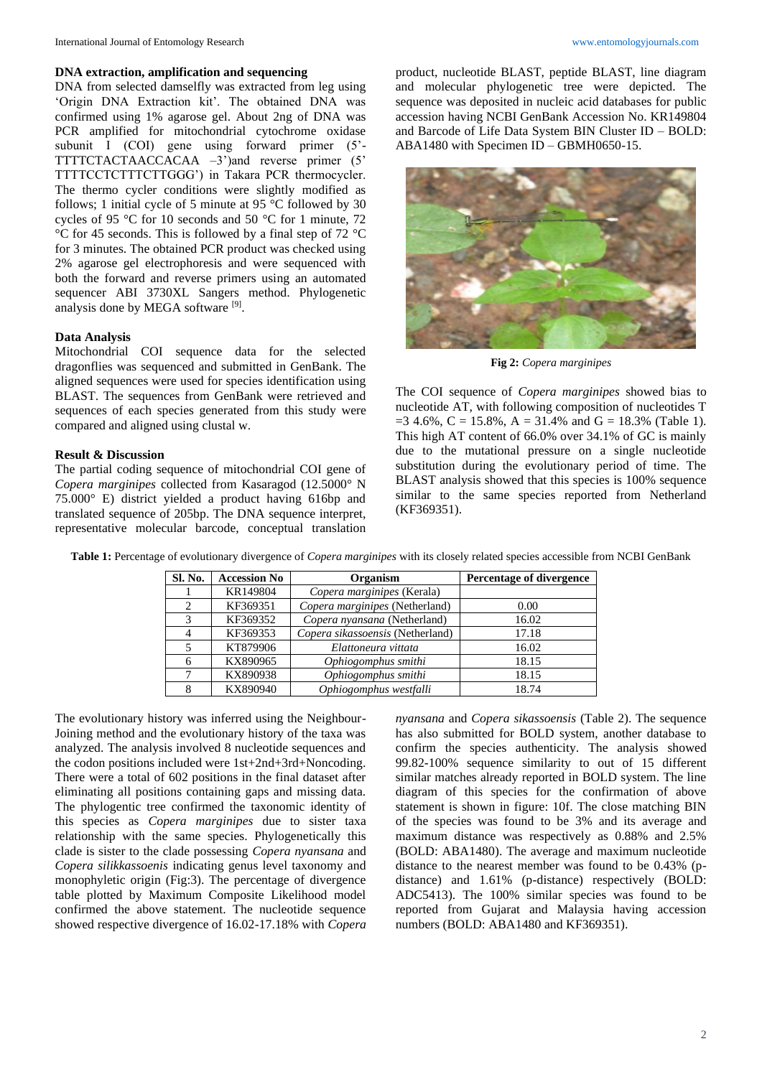#### **DNA extraction, amplification and sequencing**

DNA from selected damselfly was extracted from leg using 'Origin DNA Extraction kit'. The obtained DNA was confirmed using 1% agarose gel. About 2ng of DNA was PCR amplified for mitochondrial cytochrome oxidase subunit I (COI) gene using forward primer (5'-TTTTCTACTAACCACAA –3')and reverse primer (5' TTTTCCTCTTTCTTGGG') in Takara PCR thermocycler. The thermo cycler conditions were slightly modified as follows; 1 initial cycle of 5 minute at 95 °C followed by 30 cycles of 95 °C for 10 seconds and 50 °C for 1 minute, 72 °C for 45 seconds. This is followed by a final step of 72 °C for 3 minutes. The obtained PCR product was checked using 2% agarose gel electrophoresis and were sequenced with both the forward and reverse primers using an automated sequencer ABI 3730XL Sangers method. Phylogenetic analysis done by MEGA software [9].

# **Data Analysis**

Mitochondrial COI sequence data for the selected dragonflies was sequenced and submitted in GenBank. The aligned sequences were used for species identification using BLAST. The sequences from GenBank were retrieved and sequences of each species generated from this study were compared and aligned using clustal w.

## **Result & Discussion**

The partial coding sequence of mitochondrial COI gene of *Copera marginipes* collected from Kasaragod (12.5000° N 75.000° E) district yielded a product having 616bp and translated sequence of 205bp. The DNA sequence interpret, representative molecular barcode, conceptual translation product, nucleotide BLAST, peptide BLAST, line diagram and molecular phylogenetic tree were depicted. The sequence was deposited in nucleic acid databases for public accession having NCBI GenBank Accession No. KR149804 and Barcode of Life Data System BIN Cluster ID – BOLD: ABA1480 with Specimen ID – GBMH0650-15.



**Fig 2:** *Copera marginipes*

The COI sequence of *Copera marginipes* showed bias to nucleotide AT, with following composition of nucleotides T  $=$  3 4.6%, C = 15.8%, A = 31.4% and G = 18.3% (Table 1). This high AT content of 66.0% over 34.1% of GC is mainly due to the mutational pressure on a single nucleotide substitution during the evolutionary period of time. The BLAST analysis showed that this species is 100% sequence similar to the same species reported from Netherland (KF369351).

**Table 1:** Percentage of evolutionary divergence of *Copera marginipes* with its closely related species accessible from NCBI GenBank

| <b>Sl. No.</b> | <b>Accession No</b> | Organism                         | Percentage of divergence |
|----------------|---------------------|----------------------------------|--------------------------|
|                | KR149804            | Copera marginipes (Kerala)       |                          |
| $\mathfrak{D}$ | KF369351            | Copera marginipes (Netherland)   | 0.00                     |
| 3              | KF369352            | Copera nyansana (Netherland)     | 16.02                    |
| $\overline{4}$ | KF369353            | Copera sikassoensis (Netherland) | 17.18                    |
|                | KT879906            | Elattoneura vittata              | 16.02                    |
| 6              | KX890965            | Ophiogomphus smithi              | 18.15                    |
| ┑              | KX890938            | Ophiogomphus smithi              | 18.15                    |
|                | KX890940            | Ophiogomphus westfalli           | 18.74                    |

The evolutionary history was inferred using the Neighbour-Joining method and the evolutionary history of the taxa was analyzed. The analysis involved 8 nucleotide sequences and the codon positions included were 1st+2nd+3rd+Noncoding. There were a total of 602 positions in the final dataset after eliminating all positions containing gaps and missing data. The phylogentic tree confirmed the taxonomic identity of this species as *Copera marginipes* due to sister taxa relationship with the same species. Phylogenetically this clade is sister to the clade possessing *Copera nyansana* and *Copera silikkassoenis* indicating genus level taxonomy and monophyletic origin (Fig:3). The percentage of divergence table plotted by Maximum Composite Likelihood model confirmed the above statement. The nucleotide sequence showed respective divergence of 16.02-17.18% with *Copera*  *nyansana* and *Copera sikassoensis* (Table 2). The sequence has also submitted for BOLD system, another database to confirm the species authenticity. The analysis showed 99.82-100% sequence similarity to out of 15 different similar matches already reported in BOLD system. The line diagram of this species for the confirmation of above statement is shown in figure: 10f. The close matching BIN of the species was found to be 3% and its average and maximum distance was respectively as 0.88% and 2.5% (BOLD: ABA1480). The average and maximum nucleotide distance to the nearest member was found to be 0.43% (pdistance) and 1.61% (p-distance) respectively (BOLD: ADC5413). The 100% similar species was found to be reported from Gujarat and Malaysia having accession numbers (BOLD: ABA1480 and KF369351).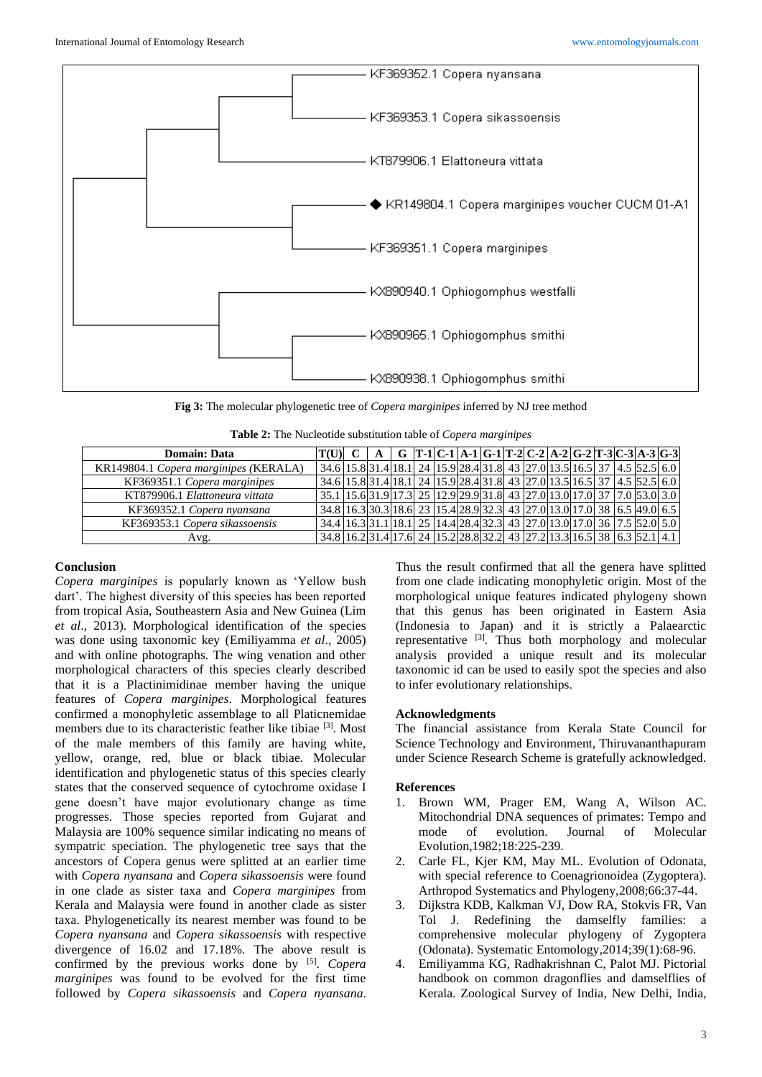

**Fig 3:** The molecular phylogenetic tree of *Copera marginipes* inferred by NJ tree method

| Table 2: The Nucleotide substitution table of Copera marginipes |  |
|-----------------------------------------------------------------|--|
|-----------------------------------------------------------------|--|

| <b>Domain: Data</b>                   |  | T(U)E C | G |  |  |  |  |  | $[T-1]C-1 A-1 G-1 T-2 C-2 A-2 G-2 T-3 C-3 A-3 G-3 $                                                  |  |
|---------------------------------------|--|---------|---|--|--|--|--|--|------------------------------------------------------------------------------------------------------|--|
| KR149804.1 Copera marginipes (KERALA) |  |         |   |  |  |  |  |  | $\frac{1}{34.6}$ 15.8 31.4 18.1 24 15.9 28.4 31.8 43 27.0 13.5 16.5 37 4.5 52.5 6.0                  |  |
| KF369351.1 Copera marginipes          |  |         |   |  |  |  |  |  | $\frac{1}{34.6}$ 15.8 31.4 18.1 24 15.9 28.4 31.8 43 27.0 13.5 16.5 37 4.5 52.5 6.0                  |  |
| KT879906.1 Elattoneura vittata        |  |         |   |  |  |  |  |  | 35.1  15.6   31.9   17.3   25   12.9   29.9   31.8   43   27.0   13.0   17.0   37   7.0   53.0   3.0 |  |
| KF369352.1 Copera nyansana            |  |         |   |  |  |  |  |  | 34.8 16.3 30.3 18.6 23 15.4 28.9 32.3 43 27.0 13.0 17.0 38 6.5 49.0 6.5                              |  |
| KF369353.1 Copera sikassoensis        |  |         |   |  |  |  |  |  | 34.4 16.3 31.1 18.1 25 14.4 28.4 32.3 43 27.0 13.0 17.0 36 7.5 52.0 5.0                              |  |
| Avg.                                  |  |         |   |  |  |  |  |  | 34.8 16.2 31.4 17.6 24 15.2 28.8 32.2 43 27.2 13.3 16.5 38 6.3 52.1 4.1                              |  |

#### **Conclusion**

*Copera marginipes* is popularly known as 'Yellow bush dart'. The highest diversity of this species has been reported from tropical Asia, Southeastern Asia and New Guinea (Lim *et al*., 2013). Morphological identification of the species was done using taxonomic key (Emiliyamma *et al*., 2005) and with online photographs. The wing venation and other morphological characters of this species clearly described that it is a Plactinimidinae member having the unique features of *Copera marginipes*. Morphological features confirmed a monophyletic assemblage to all Platicnemidae members due to its characteristic feather like tibiae [3] . Most of the male members of this family are having white, yellow, orange, red, blue or black tibiae. Molecular identification and phylogenetic status of this species clearly states that the conserved sequence of cytochrome oxidase I gene doesn't have major evolutionary change as time progresses. Those species reported from Gujarat and Malaysia are 100% sequence similar indicating no means of sympatric speciation. The phylogenetic tree says that the ancestors of Copera genus were splitted at an earlier time with *Copera nyansana* and *Copera sikassoensis* were found in one clade as sister taxa and *Copera marginipes* from Kerala and Malaysia were found in another clade as sister taxa. Phylogenetically its nearest member was found to be *Copera nyansana* and *Copera sikassoensis* with respective divergence of 16.02 and 17.18%. The above result is confirmed by the previous works done by [5] . *Copera marginipes* was found to be evolved for the first time followed by *Copera sikassoensis* and *Copera nyansana*.

Thus the result confirmed that all the genera have splitted from one clade indicating monophyletic origin. Most of the morphological unique features indicated phylogeny shown that this genus has been originated in Eastern Asia (Indonesia to Japan) and it is strictly a Palaearctic representative  $[3]$ . Thus both morphology and molecular analysis provided a unique result and its molecular taxonomic id can be used to easily spot the species and also to infer evolutionary relationships.

## **Acknowledgments**

The financial assistance from Kerala State Council for Science Technology and Environment, Thiruvananthapuram under Science Research Scheme is gratefully acknowledged.

#### **References**

- 1. Brown WM, Prager EM, Wang A, Wilson AC. Mitochondrial DNA sequences of primates: Tempo and mode of evolution. Journal of Molecular Evolution,1982;18:225-239.
- 2. Carle FL, Kjer KM, May ML. Evolution of Odonata, with special reference to Coenagrionoidea (Zygoptera). Arthropod Systematics and Phylogeny,2008;66:37-44.
- 3. Dijkstra KDB, Kalkman VJ, Dow RA, Stokvis FR, Van Tol J. Redefining the damselfly families: a comprehensive molecular phylogeny of Zygoptera (Odonata). Systematic Entomology,2014;39(1):68-96.
- 4. Emiliyamma KG, Radhakrishnan C, Palot MJ. Pictorial handbook on common dragonflies and damselflies of Kerala. Zoological Survey of India, New Delhi, India,